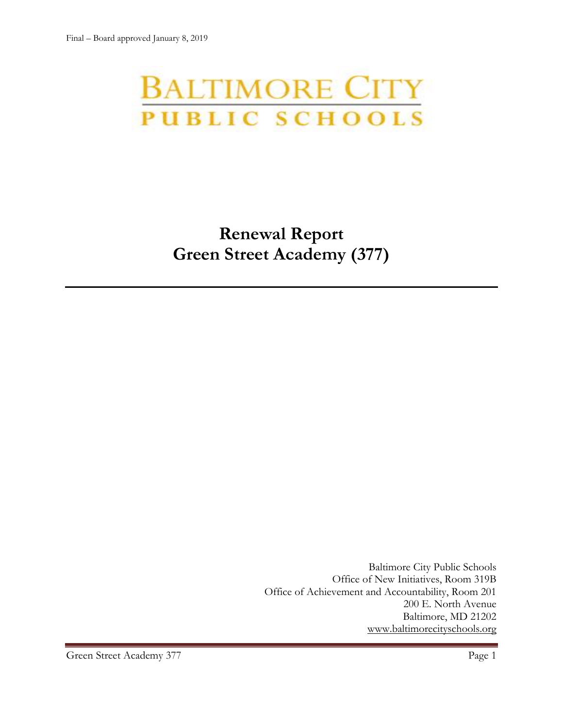# **BALTIMORE CITY** PUBLIC SCHOOLS

# **Renewal Report Green Street Academy (377)**

Baltimore City Public Schools Office of New Initiatives, Room 319B Office of Achievement and Accountability, Room 201 200 E. North Avenue Baltimore, MD 21202 [www.baltimorecityschools.org](http://www.baltimorecityschools.org/)

Green Street Academy 377 Page 1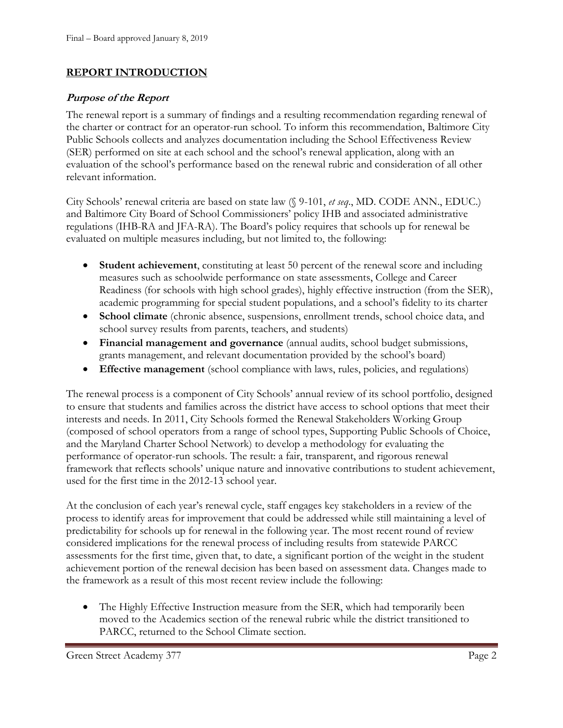#### **REPORT INTRODUCTION**

#### **Purpose of the Report**

The renewal report is a summary of findings and a resulting recommendation regarding renewal of the charter or contract for an operator-run school. To inform this recommendation, Baltimore City Public Schools collects and analyzes documentation including the School Effectiveness Review (SER) performed on site at each school and the school's renewal application, along with an evaluation of the school's performance based on the renewal rubric and consideration of all other relevant information.

City Schools' renewal criteria are based on state law (§ 9-101, *et seq*., MD. CODE ANN., EDUC.) and Baltimore City Board of School Commissioners' policy IHB and associated administrative regulations (IHB-RA and JFA-RA). The Board's policy requires that schools up for renewal be evaluated on multiple measures including, but not limited to, the following:

- **Student achievement**, constituting at least 50 percent of the renewal score and including measures such as schoolwide performance on state assessments, College and Career Readiness (for schools with high school grades), highly effective instruction (from the SER), academic programming for special student populations, and a school's fidelity to its charter
- **School climate** (chronic absence, suspensions, enrollment trends, school choice data, and school survey results from parents, teachers, and students)
- **Financial management and governance** (annual audits, school budget submissions, grants management, and relevant documentation provided by the school's board)
- **Effective management** (school compliance with laws, rules, policies, and regulations)

The renewal process is a component of City Schools' annual review of its school portfolio, designed to ensure that students and families across the district have access to school options that meet their interests and needs. In 2011, City Schools formed the Renewal Stakeholders Working Group (composed of school operators from a range of school types, Supporting Public Schools of Choice, and the Maryland Charter School Network) to develop a methodology for evaluating the performance of operator-run schools. The result: a fair, transparent, and rigorous renewal framework that reflects schools' unique nature and innovative contributions to student achievement, used for the first time in the 2012-13 school year.

At the conclusion of each year's renewal cycle, staff engages key stakeholders in a review of the process to identify areas for improvement that could be addressed while still maintaining a level of predictability for schools up for renewal in the following year. The most recent round of review considered implications for the renewal process of including results from statewide PARCC assessments for the first time, given that, to date, a significant portion of the weight in the student achievement portion of the renewal decision has been based on assessment data. Changes made to the framework as a result of this most recent review include the following:

• The Highly Effective Instruction measure from the SER, which had temporarily been moved to the Academics section of the renewal rubric while the district transitioned to PARCC, returned to the School Climate section.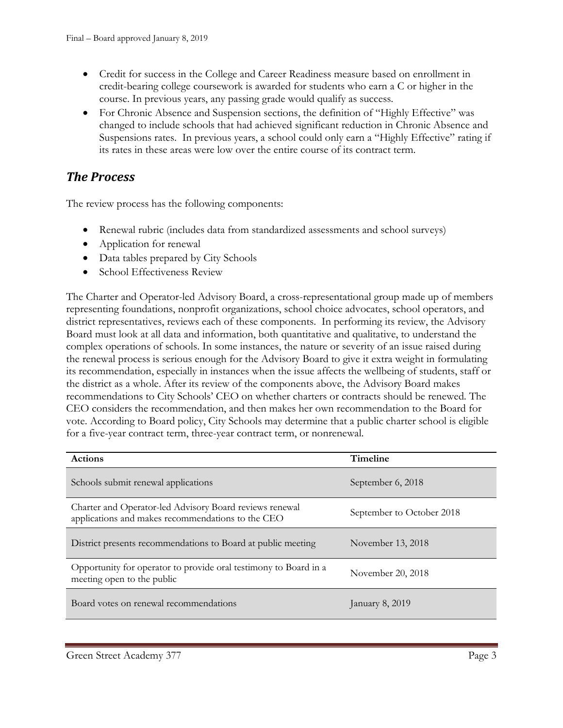- Credit for success in the College and Career Readiness measure based on enrollment in credit-bearing college coursework is awarded for students who earn a C or higher in the course. In previous years, any passing grade would qualify as success.
- For Chronic Absence and Suspension sections, the definition of "Highly Effective" was changed to include schools that had achieved significant reduction in Chronic Absence and Suspensions rates. In previous years, a school could only earn a "Highly Effective" rating if its rates in these areas were low over the entire course of its contract term.

# *The Process*

The review process has the following components:

- Renewal rubric (includes data from standardized assessments and school surveys)
- Application for renewal
- Data tables prepared by City Schools
- School Effectiveness Review

The Charter and Operator-led Advisory Board, a cross-representational group made up of members representing foundations, nonprofit organizations, school choice advocates, school operators, and district representatives, reviews each of these components. In performing its review, the Advisory Board must look at all data and information, both quantitative and qualitative, to understand the complex operations of schools. In some instances, the nature or severity of an issue raised during the renewal process is serious enough for the Advisory Board to give it extra weight in formulating its recommendation, especially in instances when the issue affects the wellbeing of students, staff or the district as a whole. After its review of the components above, the Advisory Board makes recommendations to City Schools' CEO on whether charters or contracts should be renewed. The CEO considers the recommendation, and then makes her own recommendation to the Board for vote. According to Board policy, City Schools may determine that a public charter school is eligible for a five-year contract term, three-year contract term, or nonrenewal.

| <b>Actions</b>                                                                                               | <b>Timeline</b>           |
|--------------------------------------------------------------------------------------------------------------|---------------------------|
| Schools submit renewal applications                                                                          | September 6, 2018         |
| Charter and Operator-led Advisory Board reviews renewal<br>applications and makes recommendations to the CEO | September to October 2018 |
| District presents recommendations to Board at public meeting                                                 | November 13, 2018         |
| Opportunity for operator to provide oral testimony to Board in a<br>meeting open to the public               | November 20, 2018         |
| Board votes on renewal recommendations                                                                       | January 8, 2019           |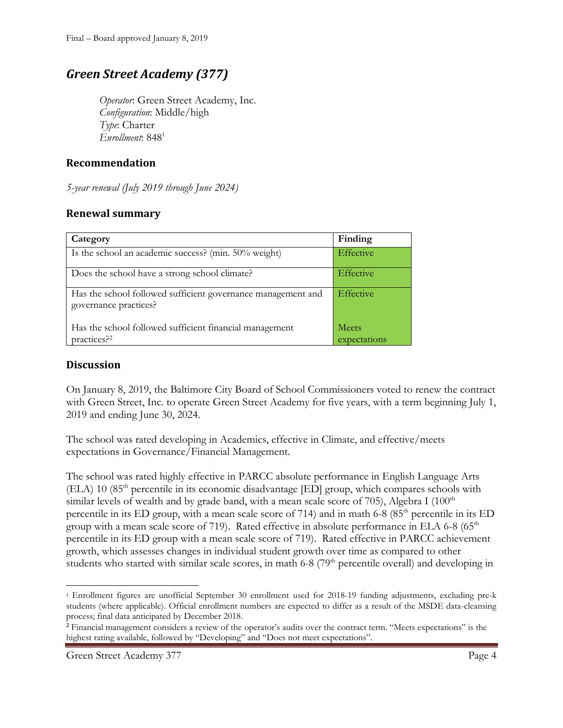## *Green Street Academy (377)*

*Operator*: Green Street Academy, Inc. *Configuration*: Middle/high *Type*: Charter *Enrollment*: 848<sup>1</sup>

#### **Recommendation**

*5-year renewal (July 2019 through June 2024)*

#### **Renewal summary**

| Category                                                                              | Finding          |
|---------------------------------------------------------------------------------------|------------------|
| Is the school an academic success? (min. 50% weight)                                  | <b>Effective</b> |
| Does the school have a strong school climate?                                         | <b>Effective</b> |
| Has the school followed sufficient governance management and<br>governance practices? | Effective        |
| Has the school followed sufficient financial management                               | <b>Meets</b>     |
| practices? <sup>2</sup>                                                               | expectations     |

#### **Discussion**

On January 8, 2019, the Baltimore City Board of School Commissioners voted to renew the contract with Green Street, Inc. to operate Green Street Academy for five years, with a term beginning July 1, 2019 and ending June 30, 2024.

The school was rated developing in Academics, effective in Climate, and effective/meets expectations in Governance/Financial Management.

The school was rated highly effective in PARCC absolute performance in English Language Arts  $(ELA)$  10 (85<sup>th</sup> percentile in its economic disadvantage  $[ED]$  group, which compares schools with similar levels of wealth and by grade band, with a mean scale score of 705), Algebra I  $(100<sup>th</sup>$ percentile in its ED group, with a mean scale score of 714) and in math 6-8  $(85<sup>th</sup>$  percentile in its ED group with a mean scale score of 719). Rated effective in absolute performance in ELA 6-8 ( $65<sup>th</sup>$ percentile in its ED group with a mean scale score of 719). Rated effective in PARCC achievement growth, which assesses changes in individual student growth over time as compared to other students who started with similar scale scores, in math 6-8 (79<sup>th</sup> percentile overall) and developing in

l

<sup>1</sup> Enrollment figures are unofficial September 30 enrollment used for 2018-19 funding adjustments, excluding pre-k students (where applicable). Official enrollment numbers are expected to differ as a result of the MSDE data-cleansing process; final data anticipated by December 2018.

<sup>2</sup> Financial management considers a review of the operator's audits over the contract term. "Meets expectations" is the highest rating available, followed by "Developing" and "Does not meet expectations".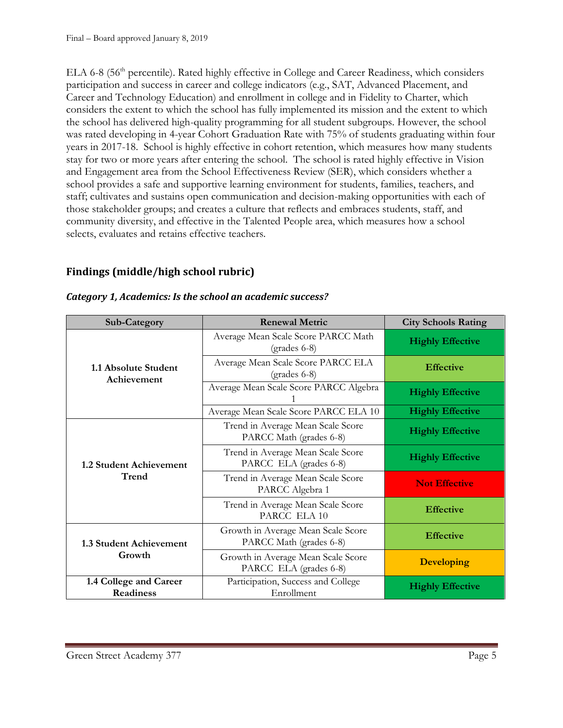ELA 6-8 (56<sup>th</sup> percentile). Rated highly effective in College and Career Readiness, which considers participation and success in career and college indicators (e.g., SAT, Advanced Placement, and Career and Technology Education) and enrollment in college and in Fidelity to Charter, which considers the extent to which the school has fully implemented its mission and the extent to which the school has delivered high-quality programming for all student subgroups. However, the school was rated developing in 4-year Cohort Graduation Rate with 75% of students graduating within four years in 2017-18. School is highly effective in cohort retention, which measures how many students stay for two or more years after entering the school. The school is rated highly effective in Vision and Engagement area from the School Effectiveness Review (SER), which considers whether a school provides a safe and supportive learning environment for students, families, teachers, and staff; cultivates and sustains open communication and decision-making opportunities with each of those stakeholder groups; and creates a culture that reflects and embraces students, staff, and community diversity, and effective in the Talented People area, which measures how a school selects, evaluates and retains effective teachers.

### **Findings (middle/high school rubric)**

| <b>Sub-Category</b>                        | <b>Renewal Metric</b>                                         | <b>City Schools Rating</b> |
|--------------------------------------------|---------------------------------------------------------------|----------------------------|
| 1.1 Absolute Student<br>Achievement        | Average Mean Scale Score PARCC Math<br>(grades 6-8)           | <b>Highly Effective</b>    |
|                                            | Average Mean Scale Score PARCC ELA<br>$(grades 6-8)$          | <b>Effective</b>           |
|                                            | Average Mean Scale Score PARCC Algebra                        | <b>Highly Effective</b>    |
|                                            | Average Mean Scale Score PARCC ELA 10                         | <b>Highly Effective</b>    |
| 1.2 Student Achievement<br>Trend           | Trend in Average Mean Scale Score<br>PARCC Math (grades 6-8)  | <b>Highly Effective</b>    |
|                                            | Trend in Average Mean Scale Score<br>PARCC ELA (grades 6-8)   | <b>Highly Effective</b>    |
|                                            | Trend in Average Mean Scale Score<br>PARCC Algebra 1          | <b>Not Effective</b>       |
|                                            | Trend in Average Mean Scale Score<br>PARCC ELA 10             | <b>Effective</b>           |
| 1.3 Student Achievement<br>Growth          | Growth in Average Mean Scale Score<br>PARCC Math (grades 6-8) | <b>Effective</b>           |
|                                            | Growth in Average Mean Scale Score<br>PARCC ELA (grades 6-8)  | <b>Developing</b>          |
| 1.4 College and Career<br><b>Readiness</b> | Participation, Success and College<br>Enrollment              | <b>Highly Effective</b>    |

#### *Category 1, Academics: Is the school an academic success?*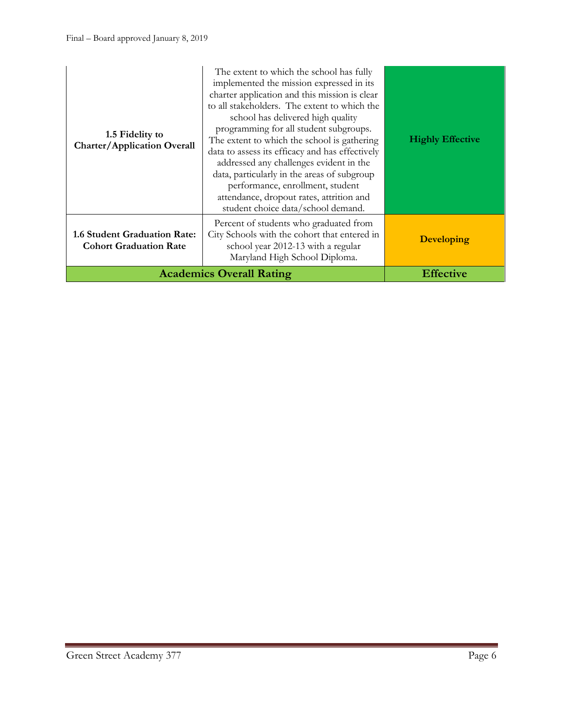| 1.5 Fidelity to<br><b>Charter/Application Overall</b>                | The extent to which the school has fully<br>implemented the mission expressed in its<br>charter application and this mission is clear<br>to all stakeholders. The extent to which the<br>school has delivered high quality<br>programming for all student subgroups.<br>The extent to which the school is gathering<br>data to assess its efficacy and has effectively<br>addressed any challenges evident in the<br>data, particularly in the areas of subgroup<br>performance, enrollment, student<br>attendance, dropout rates, attrition and<br>student choice data/school demand. | <b>Highly Effective</b> |
|----------------------------------------------------------------------|----------------------------------------------------------------------------------------------------------------------------------------------------------------------------------------------------------------------------------------------------------------------------------------------------------------------------------------------------------------------------------------------------------------------------------------------------------------------------------------------------------------------------------------------------------------------------------------|-------------------------|
| <b>1.6 Student Graduation Rate:</b><br><b>Cohort Graduation Rate</b> | Percent of students who graduated from<br>City Schools with the cohort that entered in<br>school year 2012-13 with a regular<br>Maryland High School Diploma.                                                                                                                                                                                                                                                                                                                                                                                                                          | <b>Developing</b>       |
|                                                                      | <b>Academics Overall Rating</b>                                                                                                                                                                                                                                                                                                                                                                                                                                                                                                                                                        | <b>Effective</b>        |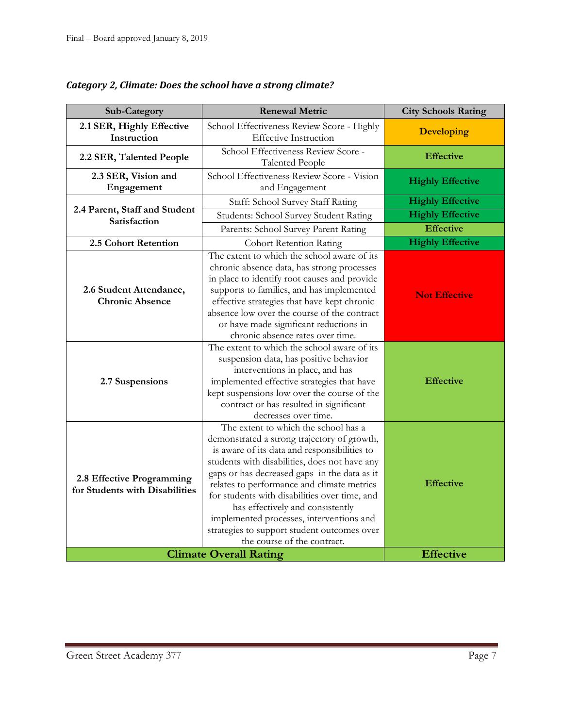| Sub-Category                                                | <b>Renewal Metric</b>                                                                                                                                                                                                                                                                                                                                                                                                                                                                             | <b>City Schools Rating</b> |
|-------------------------------------------------------------|---------------------------------------------------------------------------------------------------------------------------------------------------------------------------------------------------------------------------------------------------------------------------------------------------------------------------------------------------------------------------------------------------------------------------------------------------------------------------------------------------|----------------------------|
| 2.1 SER, Highly Effective<br>Instruction                    | School Effectiveness Review Score - Highly<br><b>Effective Instruction</b>                                                                                                                                                                                                                                                                                                                                                                                                                        | <b>Developing</b>          |
| 2.2 SER, Talented People                                    | School Effectiveness Review Score -<br><b>Talented People</b>                                                                                                                                                                                                                                                                                                                                                                                                                                     | <b>Effective</b>           |
| 2.3 SER, Vision and<br>Engagement                           | School Effectiveness Review Score - Vision<br>and Engagement                                                                                                                                                                                                                                                                                                                                                                                                                                      | <b>Highly Effective</b>    |
|                                                             | Staff: School Survey Staff Rating                                                                                                                                                                                                                                                                                                                                                                                                                                                                 | <b>Highly Effective</b>    |
| 2.4 Parent, Staff and Student<br>Satisfaction               | Students: School Survey Student Rating                                                                                                                                                                                                                                                                                                                                                                                                                                                            | <b>Highly Effective</b>    |
|                                                             | Parents: School Survey Parent Rating                                                                                                                                                                                                                                                                                                                                                                                                                                                              | <b>Effective</b>           |
| 2.5 Cohort Retention                                        | <b>Cohort Retention Rating</b>                                                                                                                                                                                                                                                                                                                                                                                                                                                                    | <b>Highly Effective</b>    |
| 2.6 Student Attendance,<br><b>Chronic Absence</b>           | The extent to which the school aware of its<br>chronic absence data, has strong processes<br>in place to identify root causes and provide<br>supports to families, and has implemented<br>effective strategies that have kept chronic<br>absence low over the course of the contract<br>or have made significant reductions in<br>chronic absence rates over time.                                                                                                                                | <b>Not Effective</b>       |
| 2.7 Suspensions                                             | The extent to which the school aware of its<br>suspension data, has positive behavior<br>interventions in place, and has<br>implemented effective strategies that have<br>kept suspensions low over the course of the<br>contract or has resulted in significant<br>decreases over time.                                                                                                                                                                                                          | <b>Effective</b>           |
| 2.8 Effective Programming<br>for Students with Disabilities | The extent to which the school has a<br>demonstrated a strong trajectory of growth,<br>is aware of its data and responsibilities to<br>students with disabilities, does not have any<br>gaps or has decreased gaps in the data as it<br>relates to performance and climate metrics<br>for students with disabilities over time, and<br>has effectively and consistently<br>implemented processes, interventions and<br>strategies to support student outcomes over<br>the course of the contract. | <b>Effective</b>           |
|                                                             | <b>Climate Overall Rating</b>                                                                                                                                                                                                                                                                                                                                                                                                                                                                     | <b>Effective</b>           |

*Category 2, Climate: Does the school have a strong climate?*